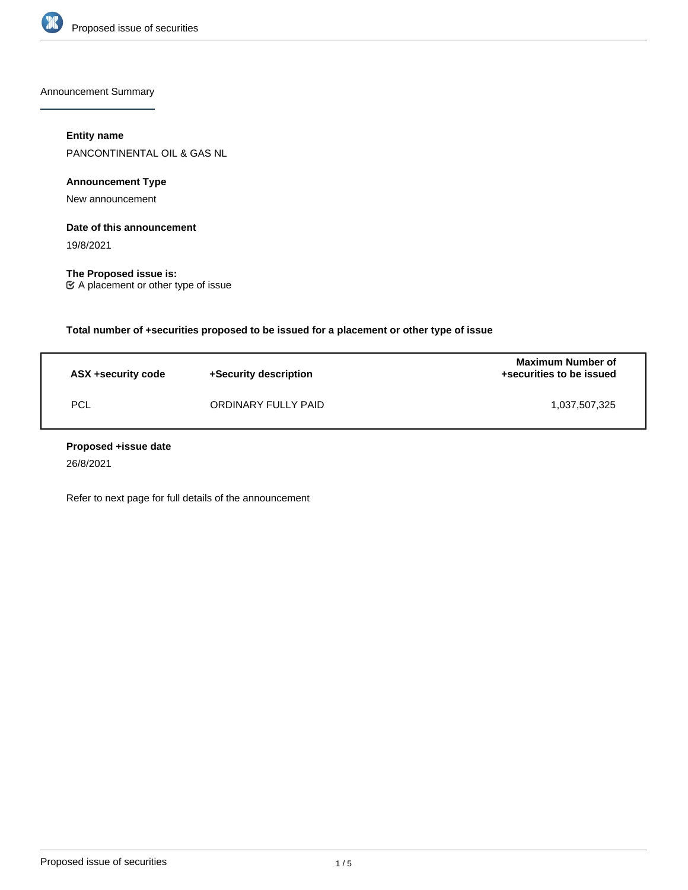

Announcement Summary

## **Entity name**

PANCONTINENTAL OIL & GAS NL

# **Announcement Type**

New announcement

## **Date of this announcement**

19/8/2021

**The Proposed issue is:** A placement or other type of issue

**Total number of +securities proposed to be issued for a placement or other type of issue**

| ASX +security code | +Security description | Maximum Number of<br>+securities to be issued |
|--------------------|-----------------------|-----------------------------------------------|
| PCL                | ORDINARY FULLY PAID   | 1,037,507,325                                 |

### **Proposed +issue date**

26/8/2021

Refer to next page for full details of the announcement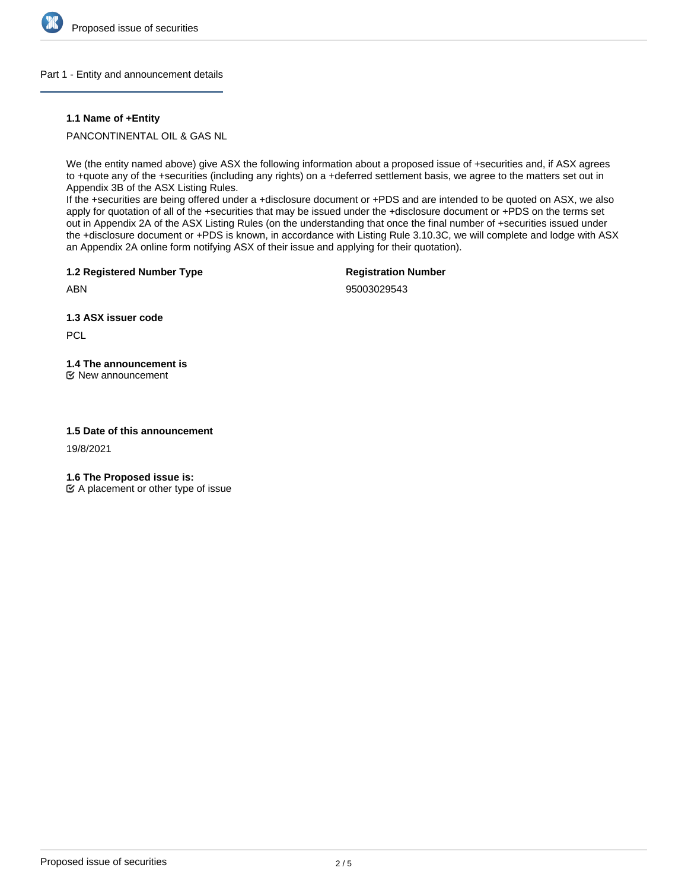

### Part 1 - Entity and announcement details

### **1.1 Name of +Entity**

PANCONTINENTAL OIL & GAS NL

We (the entity named above) give ASX the following information about a proposed issue of +securities and, if ASX agrees to +quote any of the +securities (including any rights) on a +deferred settlement basis, we agree to the matters set out in Appendix 3B of the ASX Listing Rules.

If the +securities are being offered under a +disclosure document or +PDS and are intended to be quoted on ASX, we also apply for quotation of all of the +securities that may be issued under the +disclosure document or +PDS on the terms set out in Appendix 2A of the ASX Listing Rules (on the understanding that once the final number of +securities issued under the +disclosure document or +PDS is known, in accordance with Listing Rule 3.10.3C, we will complete and lodge with ASX an Appendix 2A online form notifying ASX of their issue and applying for their quotation).

**1.2 Registered Number Type**

**Registration Number**

95003029543

**1.3 ASX issuer code**

**PCL** 

ABN

# **1.4 The announcement is**

New announcement

### **1.5 Date of this announcement**

19/8/2021

**1.6 The Proposed issue is:**

 $\mathfrak{C}$  A placement or other type of issue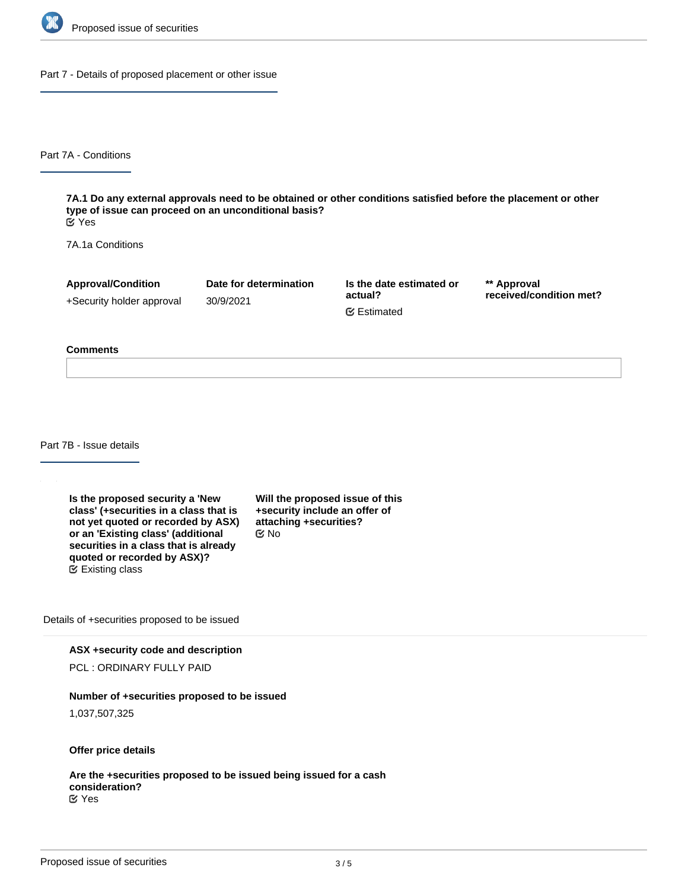

Part 7 - Details of proposed placement or other issue

Part 7A - Conditions

**7A.1 Do any external approvals need to be obtained or other conditions satisfied before the placement or other type of issue can proceed on an unconditional basis?** Yes

7A.1a Conditions

**Approval/Condition** +Security holder approval

30/9/2021

**Date for determination**

**Is the date estimated or actual?** Estimated

**\*\* Approval received/condition met?**

#### **Comments**

Part 7B - Issue details

**Is the proposed security a 'New class' (+securities in a class that is not yet quoted or recorded by ASX) or an 'Existing class' (additional securities in a class that is already quoted or recorded by ASX)?** Existing class

**Will the proposed issue of this +security include an offer of attaching +securities?** No

Details of +securities proposed to be issued

**ASX +security code and description**

PCL : ORDINARY FULLY PAID

#### **Number of +securities proposed to be issued**

1,037,507,325

**Offer price details**

**Are the +securities proposed to be issued being issued for a cash consideration?** Yes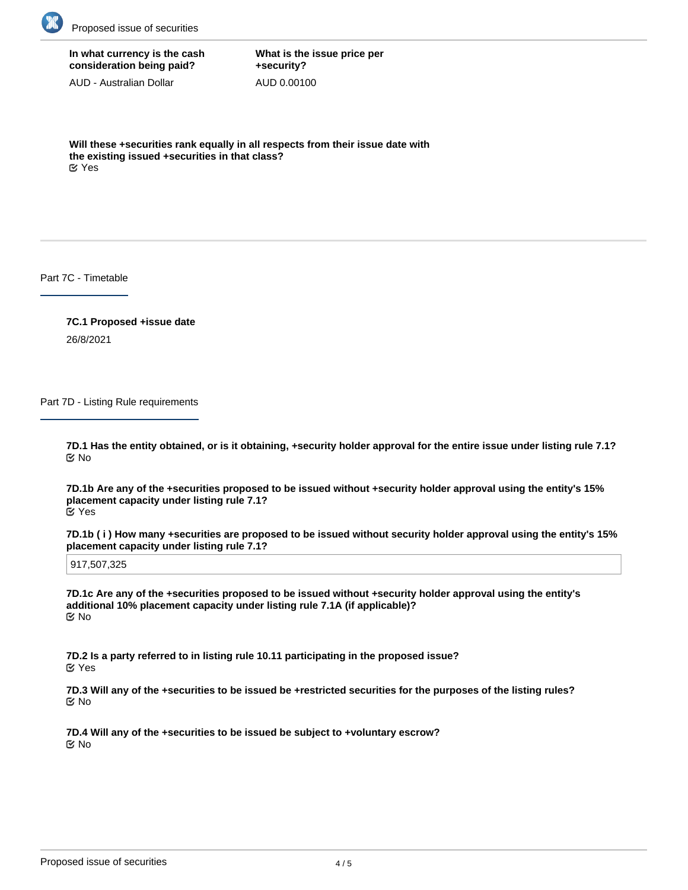

# **In what currency is the cash consideration being paid?**

AUD - Australian Dollar

**What is the issue price per +security?** AUD 0.00100

**Will these +securities rank equally in all respects from their issue date with the existing issued +securities in that class?** Yes

Part 7C - Timetable

**7C.1 Proposed +issue date** 26/8/2021

Part 7D - Listing Rule requirements

**7D.1 Has the entity obtained, or is it obtaining, +security holder approval for the entire issue under listing rule 7.1?** No

**7D.1b Are any of the +securities proposed to be issued without +security holder approval using the entity's 15% placement capacity under listing rule 7.1?** Yes

**7D.1b ( i ) How many +securities are proposed to be issued without security holder approval using the entity's 15% placement capacity under listing rule 7.1?**

917,507,325

**7D.1c Are any of the +securities proposed to be issued without +security holder approval using the entity's additional 10% placement capacity under listing rule 7.1A (if applicable)?** No

**7D.2 Is a party referred to in listing rule 10.11 participating in the proposed issue?** Yes

**7D.3 Will any of the +securities to be issued be +restricted securities for the purposes of the listing rules?** No

**7D.4 Will any of the +securities to be issued be subject to +voluntary escrow?** No